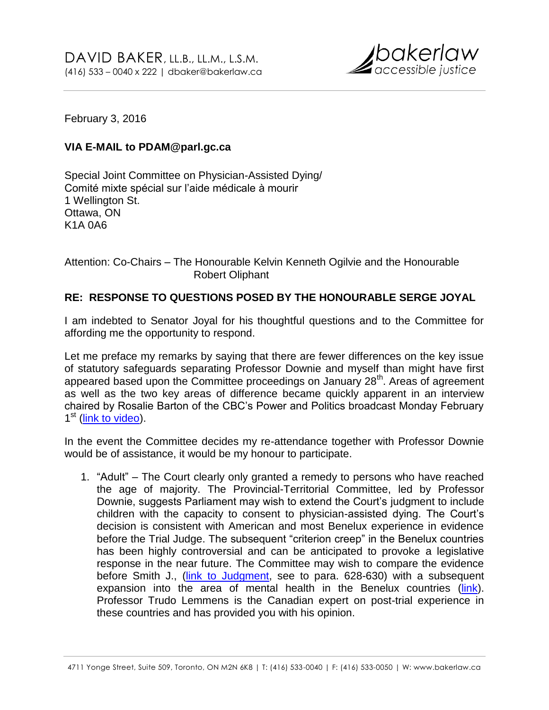

February 3, 2016

# **VIA E-MAIL to PDAM@parl.gc.ca**

Special Joint Committee on Physician-Assisted Dying/ Comité mixte spécial sur l'aide médicale à mourir 1 Wellington St. Ottawa, ON K1A 0A6

Attention: Co-Chairs – The Honourable Kelvin Kenneth Ogilvie and the Honourable Robert Oliphant

# **RE: RESPONSE TO QUESTIONS POSED BY THE HONOURABLE SERGE JOYAL**

I am indebted to Senator Joyal for his thoughtful questions and to the Committee for affording me the opportunity to respond.

Let me preface my remarks by saying that there are fewer differences on the key issue of statutory safeguards separating Professor Downie and myself than might have first appeared based upon the Committee proceedings on January 28<sup>th</sup>. Areas of agreement as well as the two key areas of difference became quickly apparent in an interview chaired by Rosalie Barton of the CBC's Power and Politics broadcast Monday February 1<sup>st</sup> [\(link to video\)](http://www.cbc.ca/player/play/2682883198).

In the event the Committee decides my re-attendance together with Professor Downie would be of assistance, it would be my honour to participate.

1. "Adult" – The Court clearly only granted a remedy to persons who have reached the age of majority. The Provincial-Territorial Committee, led by Professor Downie, suggests Parliament may wish to extend the Court's judgment to include children with the capacity to consent to physician-assisted dying. The Court's decision is consistent with American and most Benelux experience in evidence before the Trial Judge. The subsequent "criterion creep" in the Benelux countries has been highly controversial and can be anticipated to provoke a legislative response in the near future. The Committee may wish to compare the evidence before Smith J., (*link to Judgment*, see to para. 628-630) with a subsequent expansion into the area of mental health in the Benelux countries [\(link\)](http://www.bakerlaw.ca/wp-content/uploads/Lemmens-Response-Memo.pdf). Professor Trudo Lemmens is the Canadian expert on post-trial experience in these countries and has provided you with his opinion.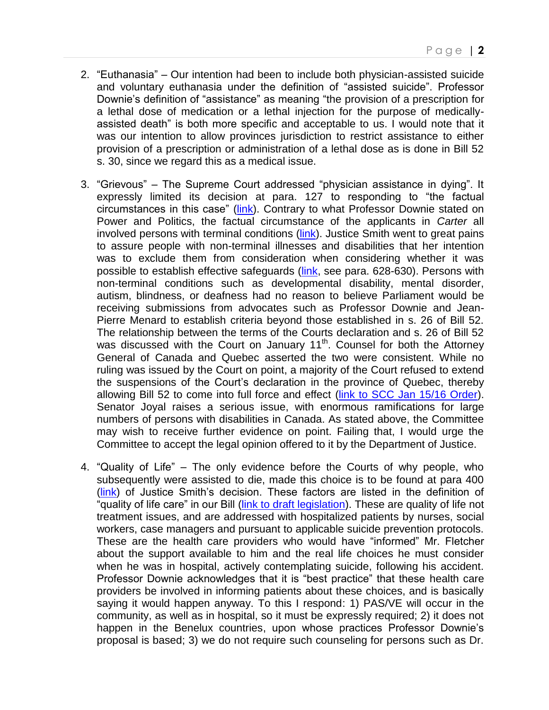- 2. "Euthanasia" Our intention had been to include both physician-assisted suicide and voluntary euthanasia under the definition of "assisted suicide". Professor Downie's definition of "assistance" as meaning "the provision of a prescription for a lethal dose of medication or a lethal injection for the purpose of medicallyassisted death" is both more specific and acceptable to us. I would note that it was our intention to allow provinces jurisdiction to restrict assistance to either provision of a prescription or administration of a lethal dose as is done in Bill 52 s. 30, since we regard this as a medical issue.
- 3. "Grievous" The Supreme Court addressed "physician assistance in dying". It expressly limited its decision at para. 127 to responding to "the factual circumstances in this case" [\(link\)](https://scc-csc.lexum.com/scc-csc/scc-csc/en/item/14637/index.do). Contrary to what Professor Downie stated on Power and Politics, the factual circumstance of the applicants in *Carter* all involved persons with terminal conditions [\(link\)](https://bccla.org/2014/01/medically-assisted-dying-faqs/). Justice Smith went to great pains to assure people with non-terminal illnesses and disabilities that her intention was to exclude them from consideration when considering whether it was possible to establish effective safeguards [\(link,](http://www.canlii.org/en/bc/bcsc/doc/2012/2012bcsc886/2012bcsc886.html) see para. 628-630). Persons with non-terminal conditions such as developmental disability, mental disorder, autism, blindness, or deafness had no reason to believe Parliament would be receiving submissions from advocates such as Professor Downie and Jean-Pierre Menard to establish criteria beyond those established in s. 26 of Bill 52. The relationship between the terms of the Courts declaration and s. 26 of Bill 52 was discussed with the Court on January 11<sup>th</sup>. Counsel for both the Attorney General of Canada and Quebec asserted the two were consistent. While no ruling was issued by the Court on point, a majority of the Court refused to extend the suspensions of the Court's declaration in the province of Quebec, thereby allowing Bill 52 to come into full force and effect [\(link to SCC Jan 15/16 Order\)](http://scc-csc.lexum.com/scc-csc/scc-csc/en/item/15696/index.do). Senator Joyal raises a serious issue, with enormous ramifications for large numbers of persons with disabilities in Canada. As stated above, the Committee may wish to receive further evidence on point. Failing that, I would urge the Committee to accept the legal opinion offered to it by the Department of Justice.
- 4. "Quality of Life" The only evidence before the Courts of why people, who subsequently were assisted to die, made this choice is to be found at para 400 [\(link\)](http://www.canlii.org/en/bc/bcsc/doc/2012/2012bcsc886/2012bcsc886.html) of Justice Smith's decision. These factors are listed in the definition of "quality of life care" in our Bill [\(link to draft legislation\)](http://www.bakerlaw.ca/wp-content/uploads/16-01-22-An-Act-to-Amend-the-Criminal-Code-Physician-Assisted-Suicide-_FINAL.pdf). These are quality of life not treatment issues, and are addressed with hospitalized patients by nurses, social workers, case managers and pursuant to applicable suicide prevention protocols. These are the health care providers who would have "informed" Mr. Fletcher about the support available to him and the real life choices he must consider when he was in hospital, actively contemplating suicide, following his accident. Professor Downie acknowledges that it is "best practice" that these health care providers be involved in informing patients about these choices, and is basically saying it would happen anyway. To this I respond: 1) PAS/VE will occur in the community, as well as in hospital, so it must be expressly required; 2) it does not happen in the Benelux countries, upon whose practices Professor Downie's proposal is based; 3) we do not require such counseling for persons such as Dr.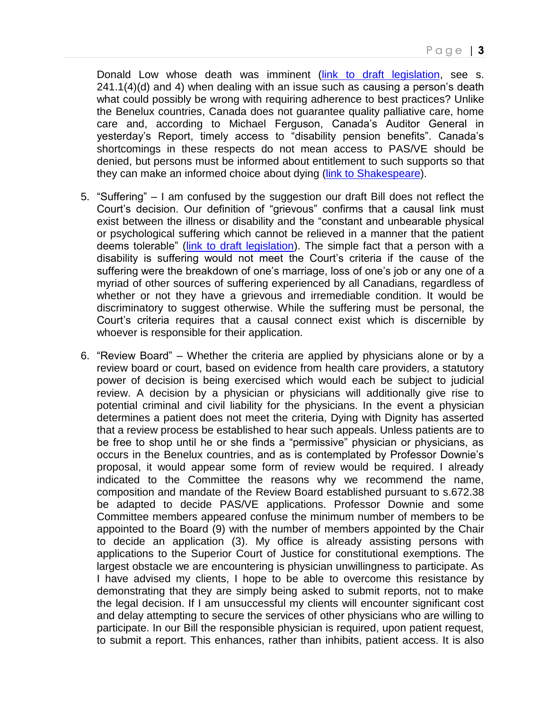Donald Low whose death was imminent [\(link to draft legislation,](http://www.bakerlaw.ca/wp-content/uploads/16-01-22-An-Act-to-Amend-the-Criminal-Code-Physician-Assisted-Suicide-_FINAL.pdf) see s. 241.1(4)(d) and 4) when dealing with an issue such as causing a person's death what could possibly be wrong with requiring adherence to best practices? Unlike the Benelux countries, Canada does not guarantee quality palliative care, home care and, according to Michael Ferguson, Canada's Auditor General in yesterday's Report, timely access to "disability pension benefits". Canada's shortcomings in these respects do not mean access to PAS/VE should be denied, but persons must be informed about entitlement to such supports so that they can make an informed choice about dying [\(link to Shakespeare\)](http://www.bakerlaw.ca/wp-content/uploads/T.-Shakespeare-Disability-Rights-and-Wrongs.pdf).

- 5. "Suffering" I am confused by the suggestion our draft Bill does not reflect the Court's decision. Our definition of "grievous" confirms that a causal link must exist between the illness or disability and the "constant and unbearable physical or psychological suffering which cannot be relieved in a manner that the patient deems tolerable" (link [to draft legislation\)](http://www.bakerlaw.ca/wp-content/uploads/16-01-22-An-Act-to-Amend-the-Criminal-Code-Physician-Assisted-Suicide-_FINAL.pdf). The simple fact that a person with a disability is suffering would not meet the Court's criteria if the cause of the suffering were the breakdown of one's marriage, loss of one's job or any one of a myriad of other sources of suffering experienced by all Canadians, regardless of whether or not they have a grievous and irremediable condition. It would be discriminatory to suggest otherwise. While the suffering must be personal, the Court's criteria requires that a causal connect exist which is discernible by whoever is responsible for their application.
- 6. "Review Board" Whether the criteria are applied by physicians alone or by a review board or court, based on evidence from health care providers, a statutory power of decision is being exercised which would each be subject to judicial review. A decision by a physician or physicians will additionally give rise to potential criminal and civil liability for the physicians. In the event a physician determines a patient does not meet the criteria, Dying with Dignity has asserted that a review process be established to hear such appeals. Unless patients are to be free to shop until he or she finds a "permissive" physician or physicians, as occurs in the Benelux countries, and as is contemplated by Professor Downie's proposal, it would appear some form of review would be required. I already indicated to the Committee the reasons why we recommend the name, composition and mandate of the Review Board established pursuant to s.672.38 be adapted to decide PAS/VE applications. Professor Downie and some Committee members appeared confuse the minimum number of members to be appointed to the Board (9) with the number of members appointed by the Chair to decide an application (3). My office is already assisting persons with applications to the Superior Court of Justice for constitutional exemptions. The largest obstacle we are encountering is physician unwillingness to participate. As I have advised my clients, I hope to be able to overcome this resistance by demonstrating that they are simply being asked to submit reports, not to make the legal decision. If I am unsuccessful my clients will encounter significant cost and delay attempting to secure the services of other physicians who are willing to participate. In our Bill the responsible physician is required, upon patient request, to submit a report. This enhances, rather than inhibits, patient access. It is also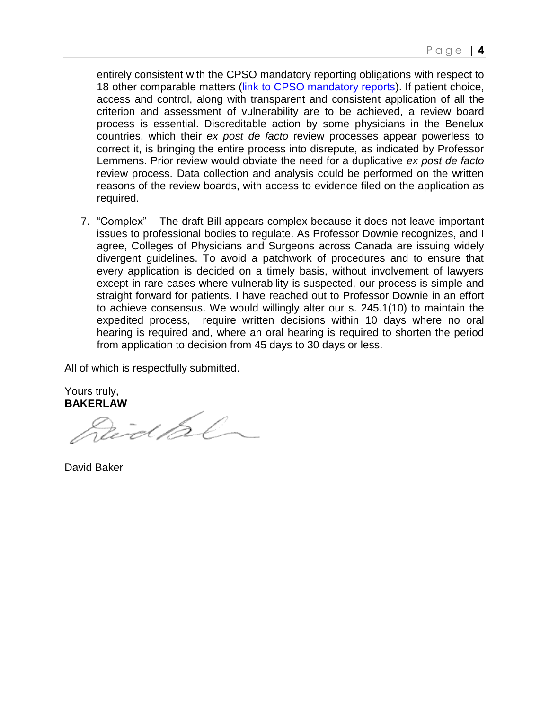entirely consistent with the CPSO mandatory reporting obligations with respect to 18 other comparable matters [\(link to CPSO mandatory reports\)](http://www.cpso.on.ca/policies-publications/policy/mandatory-and-permissive-reporting). If patient choice, access and control, along with transparent and consistent application of all the criterion and assessment of vulnerability are to be achieved, a review board process is essential. Discreditable action by some physicians in the Benelux countries, which their *ex post de facto* review processes appear powerless to correct it, is bringing the entire process into disrepute, as indicated by Professor Lemmens. Prior review would obviate the need for a duplicative *ex post de facto* review process. Data collection and analysis could be performed on the written reasons of the review boards, with access to evidence filed on the application as required.

7. "Complex" – The draft Bill appears complex because it does not leave important issues to professional bodies to regulate. As Professor Downie recognizes, and I agree, Colleges of Physicians and Surgeons across Canada are issuing widely divergent guidelines. To avoid a patchwork of procedures and to ensure that every application is decided on a timely basis, without involvement of lawyers except in rare cases where vulnerability is suspected, our process is simple and straight forward for patients. I have reached out to Professor Downie in an effort to achieve consensus. We would willingly alter our s. 245.1(10) to maintain the expedited process, require written decisions within 10 days where no oral hearing is required and, where an oral hearing is required to shorten the period from application to decision from 45 days to 30 days or less.

All of which is respectfully submitted.

Yours truly,

BAKERLAW<br>*Reich Bl* 

David Baker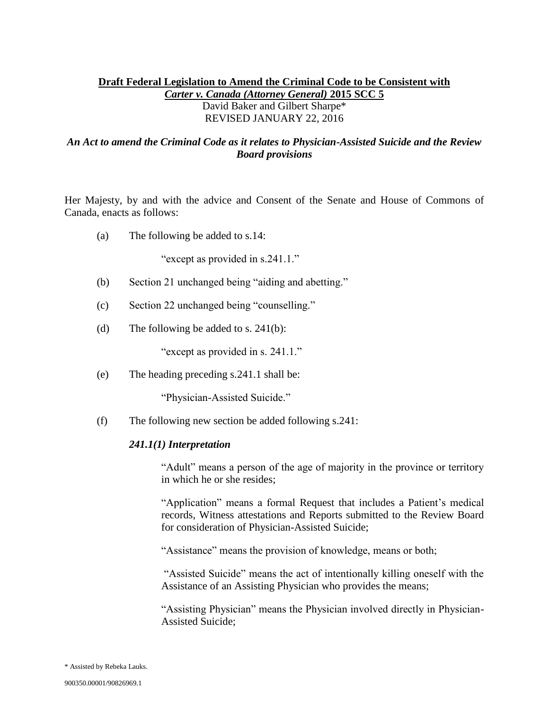# **Draft Federal Legislation to Amend the Criminal Code to be Consistent with**  *Carter v. Canada (Attorney General)* **2015 SCC 5**  David Baker and Gilbert Sharpe\* REVISED JANUARY 22, 2016

## *An Act to amend the Criminal Code as it relates to Physician-Assisted Suicide and the Review Board provisions*

Her Majesty, by and with the advice and Consent of the Senate and House of Commons of Canada, enacts as follows:

(a) The following be added to s.14:

"except as provided in s.241.1."

- (b) Section 21 unchanged being "aiding and abetting."
- (c) Section 22 unchanged being "counselling."
- (d) The following be added to s.  $241(b)$ :

"except as provided in s. 241.1."

(e) The heading preceding s.241.1 shall be:

"Physician-Assisted Suicide."

(f) The following new section be added following s.241:

#### *241.1(1) Interpretation*

"Adult" means a person of the age of majority in the province or territory in which he or she resides;

"Application" means a formal Request that includes a Patient's medical records, Witness attestations and Reports submitted to the Review Board for consideration of Physician-Assisted Suicide;

"Assistance" means the provision of knowledge, means or both;

"Assisted Suicide" means the act of intentionally killing oneself with the Assistance of an Assisting Physician who provides the means;

"Assisting Physician" means the Physician involved directly in Physician-Assisted Suicide;

<sup>\*</sup> Assisted by Rebeka Lauks.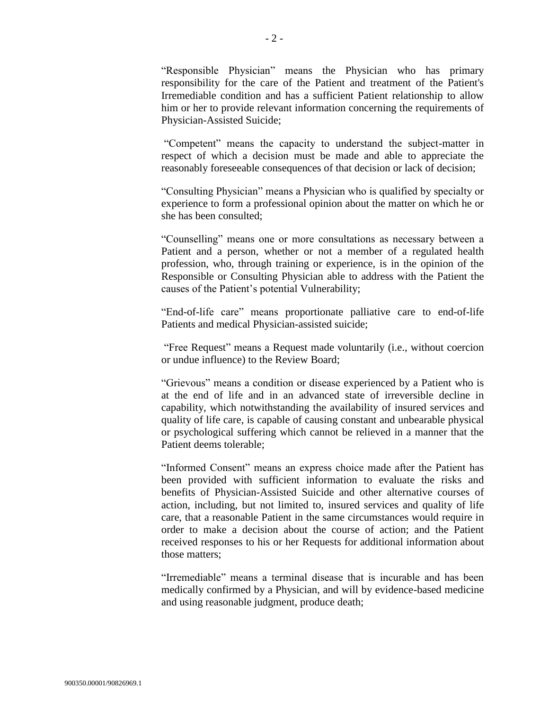"Responsible Physician" means the Physician who has primary responsibility for the care of the Patient and treatment of the Patient's Irremediable condition and has a sufficient Patient relationship to allow him or her to provide relevant information concerning the requirements of Physician-Assisted Suicide;

"Competent" means the capacity to understand the subject-matter in respect of which a decision must be made and able to appreciate the reasonably foreseeable consequences of that decision or lack of decision;

"Consulting Physician" means a Physician who is qualified by specialty or experience to form a professional opinion about the matter on which he or she has been consulted;

"Counselling" means one or more consultations as necessary between a Patient and a person, whether or not a member of a regulated health profession, who, through training or experience, is in the opinion of the Responsible or Consulting Physician able to address with the Patient the causes of the Patient's potential Vulnerability;

"End-of-life care" means proportionate palliative care to end-of-life Patients and medical Physician-assisted suicide;

"Free Request" means a Request made voluntarily (i.e., without coercion or undue influence) to the Review Board;

"Grievous" means a condition or disease experienced by a Patient who is at the end of life and in an advanced state of irreversible decline in capability, which notwithstanding the availability of insured services and quality of life care, is capable of causing constant and unbearable physical or psychological suffering which cannot be relieved in a manner that the Patient deems tolerable;

"Informed Consent" means an express choice made after the Patient has been provided with sufficient information to evaluate the risks and benefits of Physician-Assisted Suicide and other alternative courses of action, including, but not limited to, insured services and quality of life care, that a reasonable Patient in the same circumstances would require in order to make a decision about the course of action; and the Patient received responses to his or her Requests for additional information about those matters;

"Irremediable" means a terminal disease that is incurable and has been medically confirmed by a Physician, and will by evidence-based medicine and using reasonable judgment, produce death;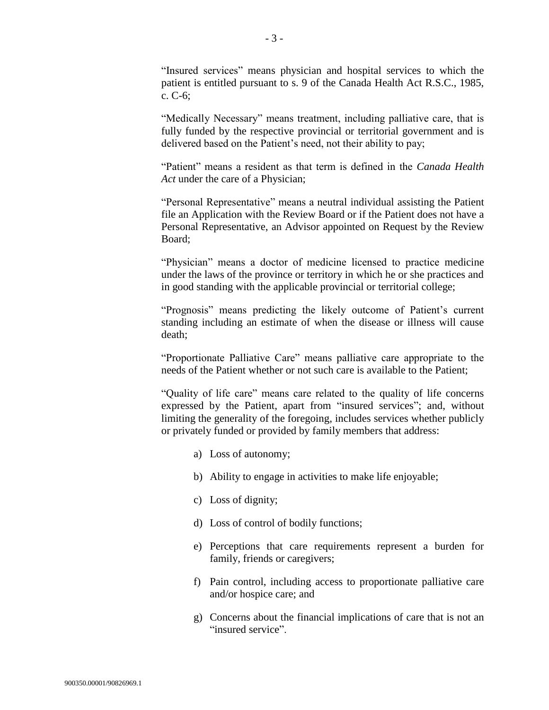"Insured services" means physician and hospital services to which the patient is entitled pursuant to s. 9 of the Canada Health Act R.S.C., 1985, c. C-6;

"Medically Necessary" means treatment, including palliative care, that is fully funded by the respective provincial or territorial government and is delivered based on the Patient's need, not their ability to pay;

"Patient" means a resident as that term is defined in the *Canada Health Act* under the care of a Physician;

"Personal Representative" means a neutral individual assisting the Patient file an Application with the Review Board or if the Patient does not have a Personal Representative, an Advisor appointed on Request by the Review Board;

"Physician" means a doctor of medicine licensed to practice medicine under the laws of the province or territory in which he or she practices and in good standing with the applicable provincial or territorial college;

"Prognosis" means predicting the likely outcome of Patient's current standing including an estimate of when the disease or illness will cause death;

"Proportionate Palliative Care" means palliative care appropriate to the needs of the Patient whether or not such care is available to the Patient;

"Quality of life care" means care related to the quality of life concerns expressed by the Patient, apart from "insured services"; and, without limiting the generality of the foregoing, includes services whether publicly or privately funded or provided by family members that address:

- a) Loss of autonomy;
- b) Ability to engage in activities to make life enjoyable;
- c) Loss of dignity;
- d) Loss of control of bodily functions;
- e) Perceptions that care requirements represent a burden for family, friends or caregivers;
- f) Pain control, including access to proportionate palliative care and/or hospice care; and
- g) Concerns about the financial implications of care that is not an "insured service".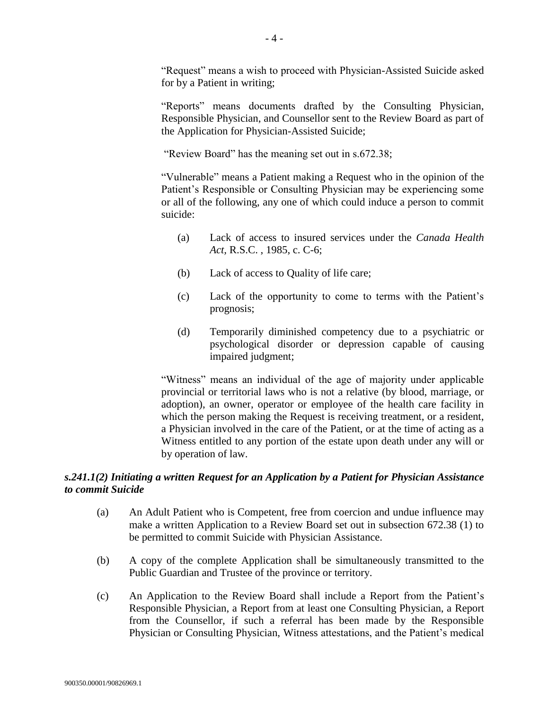"Request" means a wish to proceed with Physician-Assisted Suicide asked for by a Patient in writing;

"Reports" means documents drafted by the Consulting Physician, Responsible Physician, and Counsellor sent to the Review Board as part of the Application for Physician-Assisted Suicide;

"Review Board" has the meaning set out in s.672.38;

"Vulnerable" means a Patient making a Request who in the opinion of the Patient's Responsible or Consulting Physician may be experiencing some or all of the following, any one of which could induce a person to commit suicide:

- (a) Lack of access to insured services under the *Canada Health Act,* R.S.C. , 1985, c. C-6;
- (b) Lack of access to Quality of life care;
- (c) Lack of the opportunity to come to terms with the Patient's prognosis;
- (d) Temporarily diminished competency due to a psychiatric or psychological disorder or depression capable of causing impaired judgment;

"Witness" means an individual of the age of majority under applicable provincial or territorial laws who is not a relative (by blood, marriage, or adoption), an owner, operator or employee of the health care facility in which the person making the Request is receiving treatment, or a resident, a Physician involved in the care of the Patient, or at the time of acting as a Witness entitled to any portion of the estate upon death under any will or by operation of law.

# *s.241.1(2) Initiating a written Request for an Application by a Patient for Physician Assistance to commit Suicide*

- (a) An Adult Patient who is Competent, free from coercion and undue influence may make a written Application to a Review Board set out in subsection 672.38 (1) to be permitted to commit Suicide with Physician Assistance.
- (b) A copy of the complete Application shall be simultaneously transmitted to the Public Guardian and Trustee of the province or territory.
- (c) An Application to the Review Board shall include a Report from the Patient's Responsible Physician, a Report from at least one Consulting Physician, a Report from the Counsellor, if such a referral has been made by the Responsible Physician or Consulting Physician, Witness attestations, and the Patient's medical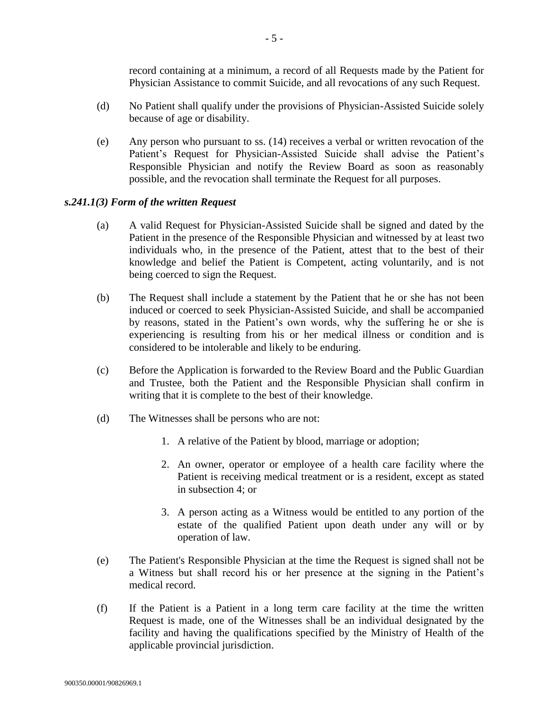record containing at a minimum, a record of all Requests made by the Patient for Physician Assistance to commit Suicide, and all revocations of any such Request.

- (d) No Patient shall qualify under the provisions of Physician-Assisted Suicide solely because of age or disability.
- (e) Any person who pursuant to ss. (14) receives a verbal or written revocation of the Patient's Request for Physician-Assisted Suicide shall advise the Patient's Responsible Physician and notify the Review Board as soon as reasonably possible, and the revocation shall terminate the Request for all purposes.

#### *s.241.1(3) Form of the written Request*

- (a) A valid Request for Physician-Assisted Suicide shall be signed and dated by the Patient in the presence of the Responsible Physician and witnessed by at least two individuals who, in the presence of the Patient, attest that to the best of their knowledge and belief the Patient is Competent, acting voluntarily, and is not being coerced to sign the Request.
- (b) The Request shall include a statement by the Patient that he or she has not been induced or coerced to seek Physician-Assisted Suicide, and shall be accompanied by reasons, stated in the Patient's own words, why the suffering he or she is experiencing is resulting from his or her medical illness or condition and is considered to be intolerable and likely to be enduring.
- (c) Before the Application is forwarded to the Review Board and the Public Guardian and Trustee, both the Patient and the Responsible Physician shall confirm in writing that it is complete to the best of their knowledge.
- (d) The Witnesses shall be persons who are not:
	- 1. A relative of the Patient by blood, marriage or adoption;
	- 2. An owner, operator or employee of a health care facility where the Patient is receiving medical treatment or is a resident, except as stated in subsection 4; or
	- 3. A person acting as a Witness would be entitled to any portion of the estate of the qualified Patient upon death under any will or by operation of law.
- (e) The Patient's Responsible Physician at the time the Request is signed shall not be a Witness but shall record his or her presence at the signing in the Patient's medical record.
- (f) If the Patient is a Patient in a long term care facility at the time the written Request is made, one of the Witnesses shall be an individual designated by the facility and having the qualifications specified by the Ministry of Health of the applicable provincial jurisdiction.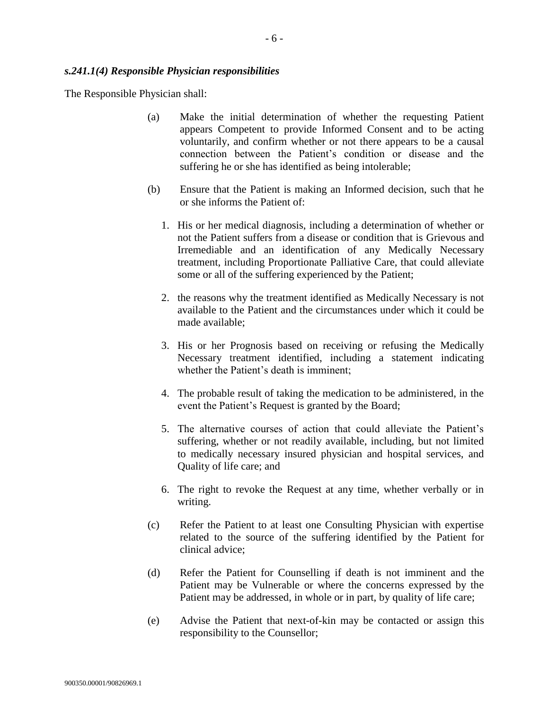The Responsible Physician shall:

- (a) Make the initial determination of whether the requesting Patient appears Competent to provide Informed Consent and to be acting voluntarily, and confirm whether or not there appears to be a causal connection between the Patient's condition or disease and the suffering he or she has identified as being intolerable;
- (b) Ensure that the Patient is making an Informed decision, such that he or she informs the Patient of:
	- 1. His or her medical diagnosis, including a determination of whether or not the Patient suffers from a disease or condition that is Grievous and Irremediable and an identification of any Medically Necessary treatment, including Proportionate Palliative Care, that could alleviate some or all of the suffering experienced by the Patient;
	- 2. the reasons why the treatment identified as Medically Necessary is not available to the Patient and the circumstances under which it could be made available;
	- 3. His or her Prognosis based on receiving or refusing the Medically Necessary treatment identified, including a statement indicating whether the Patient's death is imminent;
	- 4. The probable result of taking the medication to be administered, in the event the Patient's Request is granted by the Board;
	- 5. The alternative courses of action that could alleviate the Patient's suffering, whether or not readily available, including, but not limited to medically necessary insured physician and hospital services, and Quality of life care; and
	- 6. The right to revoke the Request at any time, whether verbally or in writing.
- (c) Refer the Patient to at least one Consulting Physician with expertise related to the source of the suffering identified by the Patient for clinical advice;
- (d) Refer the Patient for Counselling if death is not imminent and the Patient may be Vulnerable or where the concerns expressed by the Patient may be addressed, in whole or in part, by quality of life care;
- (e) Advise the Patient that next-of-kin may be contacted or assign this responsibility to the Counsellor;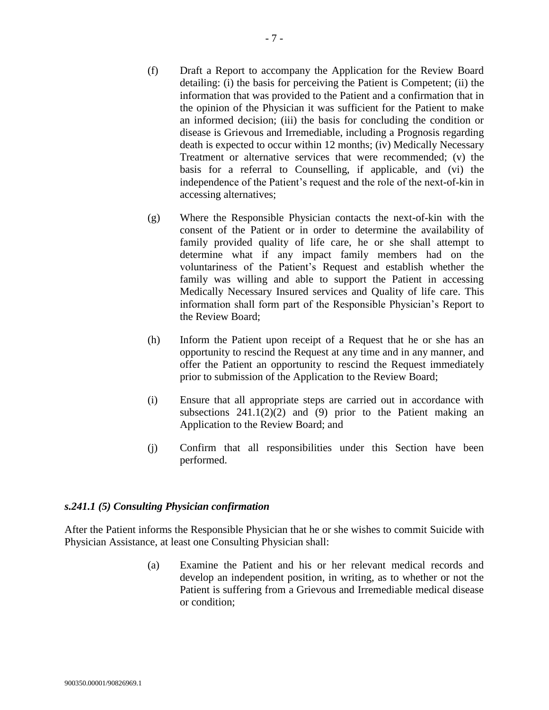- (f) Draft a Report to accompany the Application for the Review Board detailing: (i) the basis for perceiving the Patient is Competent; (ii) the information that was provided to the Patient and a confirmation that in the opinion of the Physician it was sufficient for the Patient to make an informed decision; (iii) the basis for concluding the condition or disease is Grievous and Irremediable, including a Prognosis regarding death is expected to occur within 12 months; (iv) Medically Necessary Treatment or alternative services that were recommended; (v) the basis for a referral to Counselling, if applicable, and (vi) the independence of the Patient's request and the role of the next-of-kin in accessing alternatives;
- (g) Where the Responsible Physician contacts the next-of-kin with the consent of the Patient or in order to determine the availability of family provided quality of life care, he or she shall attempt to determine what if any impact family members had on the voluntariness of the Patient's Request and establish whether the family was willing and able to support the Patient in accessing Medically Necessary Insured services and Quality of life care. This information shall form part of the Responsible Physician's Report to the Review Board;
- (h) Inform the Patient upon receipt of a Request that he or she has an opportunity to rescind the Request at any time and in any manner, and offer the Patient an opportunity to rescind the Request immediately prior to submission of the Application to the Review Board;
- (i) Ensure that all appropriate steps are carried out in accordance with subsections  $241.1(2)(2)$  and (9) prior to the Patient making an Application to the Review Board; and
- (j) Confirm that all responsibilities under this Section have been performed.

## *s.241.1 (5) Consulting Physician confirmation*

After the Patient informs the Responsible Physician that he or she wishes to commit Suicide with Physician Assistance, at least one Consulting Physician shall:

> (a) Examine the Patient and his or her relevant medical records and develop an independent position, in writing, as to whether or not the Patient is suffering from a Grievous and Irremediable medical disease or condition;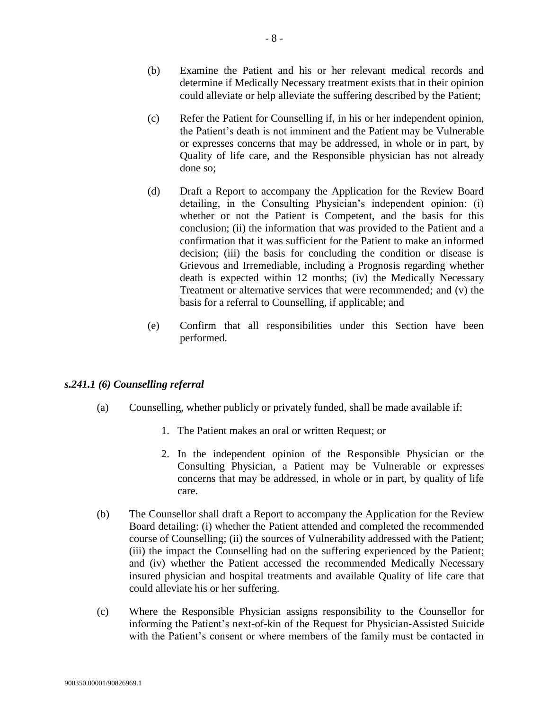- (b) Examine the Patient and his or her relevant medical records and determine if Medically Necessary treatment exists that in their opinion could alleviate or help alleviate the suffering described by the Patient;
- (c) Refer the Patient for Counselling if, in his or her independent opinion, the Patient's death is not imminent and the Patient may be Vulnerable or expresses concerns that may be addressed, in whole or in part, by Quality of life care, and the Responsible physician has not already done so;
- (d) Draft a Report to accompany the Application for the Review Board detailing, in the Consulting Physician's independent opinion: (i) whether or not the Patient is Competent, and the basis for this conclusion; (ii) the information that was provided to the Patient and a confirmation that it was sufficient for the Patient to make an informed decision; (iii) the basis for concluding the condition or disease is Grievous and Irremediable, including a Prognosis regarding whether death is expected within 12 months; (iv) the Medically Necessary Treatment or alternative services that were recommended; and (v) the basis for a referral to Counselling, if applicable; and
- (e) Confirm that all responsibilities under this Section have been performed.

## *s.241.1 (6) Counselling referral*

- (a) Counselling, whether publicly or privately funded, shall be made available if:
	- 1. The Patient makes an oral or written Request; or
	- 2. In the independent opinion of the Responsible Physician or the Consulting Physician, a Patient may be Vulnerable or expresses concerns that may be addressed, in whole or in part, by quality of life care.
- (b) The Counsellor shall draft a Report to accompany the Application for the Review Board detailing: (i) whether the Patient attended and completed the recommended course of Counselling; (ii) the sources of Vulnerability addressed with the Patient; (iii) the impact the Counselling had on the suffering experienced by the Patient; and (iv) whether the Patient accessed the recommended Medically Necessary insured physician and hospital treatments and available Quality of life care that could alleviate his or her suffering.
- (c) Where the Responsible Physician assigns responsibility to the Counsellor for informing the Patient's next-of-kin of the Request for Physician-Assisted Suicide with the Patient's consent or where members of the family must be contacted in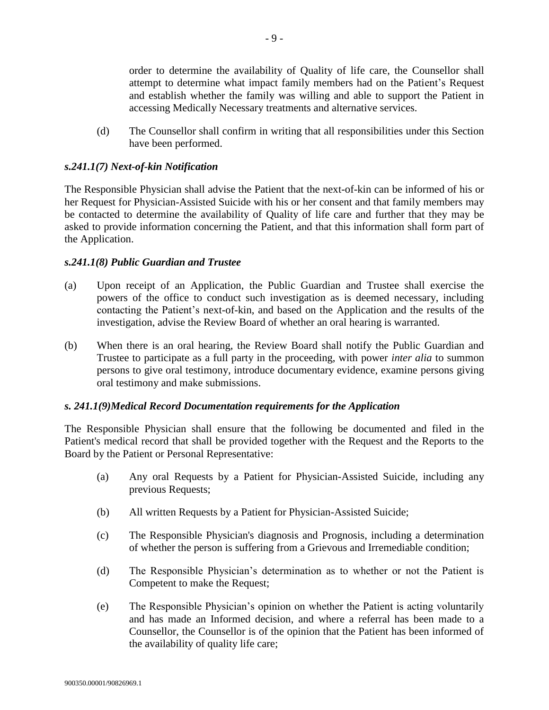order to determine the availability of Quality of life care, the Counsellor shall attempt to determine what impact family members had on the Patient's Request and establish whether the family was willing and able to support the Patient in accessing Medically Necessary treatments and alternative services.

(d) The Counsellor shall confirm in writing that all responsibilities under this Section have been performed.

## *s.241.1(7) Next-of-kin Notification*

The Responsible Physician shall advise the Patient that the next-of-kin can be informed of his or her Request for Physician-Assisted Suicide with his or her consent and that family members may be contacted to determine the availability of Quality of life care and further that they may be asked to provide information concerning the Patient, and that this information shall form part of the Application.

## *s.241.1(8) Public Guardian and Trustee*

- (a) Upon receipt of an Application, the Public Guardian and Trustee shall exercise the powers of the office to conduct such investigation as is deemed necessary, including contacting the Patient's next-of-kin, and based on the Application and the results of the investigation, advise the Review Board of whether an oral hearing is warranted.
- (b) When there is an oral hearing, the Review Board shall notify the Public Guardian and Trustee to participate as a full party in the proceeding, with power *inter alia* to summon persons to give oral testimony, introduce documentary evidence, examine persons giving oral testimony and make submissions.

## *s. 241.1(9)Medical Record Documentation requirements for the Application*

The Responsible Physician shall ensure that the following be documented and filed in the Patient's medical record that shall be provided together with the Request and the Reports to the Board by the Patient or Personal Representative:

- (a) Any oral Requests by a Patient for Physician-Assisted Suicide, including any previous Requests;
- (b) All written Requests by a Patient for Physician-Assisted Suicide;
- (c) The Responsible Physician's diagnosis and Prognosis, including a determination of whether the person is suffering from a Grievous and Irremediable condition;
- (d) The Responsible Physician's determination as to whether or not the Patient is Competent to make the Request;
- (e) The Responsible Physician's opinion on whether the Patient is acting voluntarily and has made an Informed decision, and where a referral has been made to a Counsellor, the Counsellor is of the opinion that the Patient has been informed of the availability of quality life care;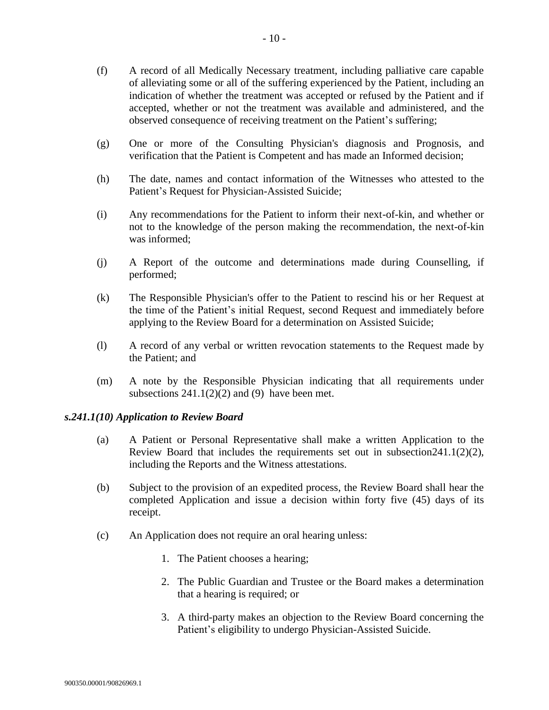- (f) A record of all Medically Necessary treatment, including palliative care capable of alleviating some or all of the suffering experienced by the Patient, including an indication of whether the treatment was accepted or refused by the Patient and if accepted, whether or not the treatment was available and administered, and the observed consequence of receiving treatment on the Patient's suffering;
- (g) One or more of the Consulting Physician's diagnosis and Prognosis, and verification that the Patient is Competent and has made an Informed decision;
- (h) The date, names and contact information of the Witnesses who attested to the Patient's Request for Physician-Assisted Suicide;
- (i) Any recommendations for the Patient to inform their next-of-kin, and whether or not to the knowledge of the person making the recommendation, the next-of-kin was informed;
- (j) A Report of the outcome and determinations made during Counselling, if performed;
- (k) The Responsible Physician's offer to the Patient to rescind his or her Request at the time of the Patient's initial Request, second Request and immediately before applying to the Review Board for a determination on Assisted Suicide;
- (l) A record of any verbal or written revocation statements to the Request made by the Patient; and
- (m) A note by the Responsible Physician indicating that all requirements under subsections  $241.1(2)(2)$  and (9) have been met.

## *s.241.1(10) Application to Review Board*

- (a) A Patient or Personal Representative shall make a written Application to the Review Board that includes the requirements set out in subsection  $241.1(2)(2)$ , including the Reports and the Witness attestations.
- (b) Subject to the provision of an expedited process, the Review Board shall hear the completed Application and issue a decision within forty five (45) days of its receipt.
- (c) An Application does not require an oral hearing unless:
	- 1. The Patient chooses a hearing;
	- 2. The Public Guardian and Trustee or the Board makes a determination that a hearing is required; or
	- 3. A third-party makes an objection to the Review Board concerning the Patient's eligibility to undergo Physician-Assisted Suicide.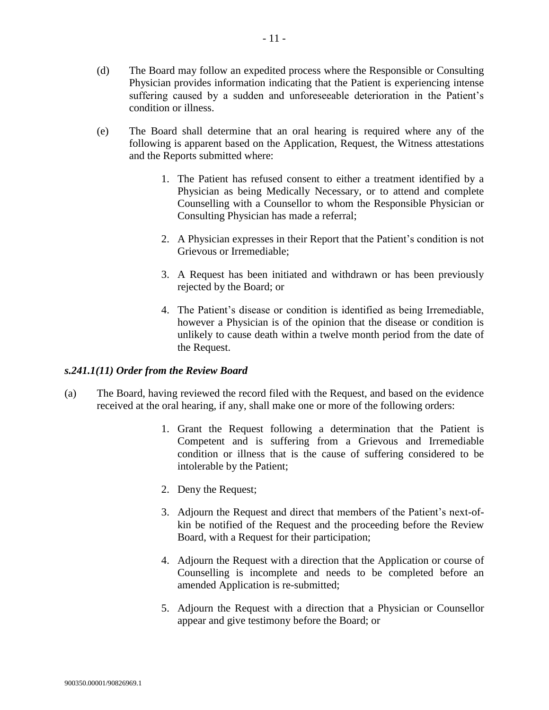- (e) The Board shall determine that an oral hearing is required where any of the following is apparent based on the Application, Request, the Witness attestations and the Reports submitted where:
	- 1. The Patient has refused consent to either a treatment identified by a Physician as being Medically Necessary, or to attend and complete Counselling with a Counsellor to whom the Responsible Physician or Consulting Physician has made a referral;
	- 2. A Physician expresses in their Report that the Patient's condition is not Grievous or Irremediable;
	- 3. A Request has been initiated and withdrawn or has been previously rejected by the Board; or
	- 4. The Patient's disease or condition is identified as being Irremediable, however a Physician is of the opinion that the disease or condition is unlikely to cause death within a twelve month period from the date of the Request.

# *s.241.1(11) Order from the Review Board*

- (a) The Board, having reviewed the record filed with the Request, and based on the evidence received at the oral hearing, if any, shall make one or more of the following orders:
	- 1. Grant the Request following a determination that the Patient is Competent and is suffering from a Grievous and Irremediable condition or illness that is the cause of suffering considered to be intolerable by the Patient;
	- 2. Deny the Request;
	- 3. Adjourn the Request and direct that members of the Patient's next-ofkin be notified of the Request and the proceeding before the Review Board, with a Request for their participation;
	- 4. Adjourn the Request with a direction that the Application or course of Counselling is incomplete and needs to be completed before an amended Application is re-submitted;
	- 5. Adjourn the Request with a direction that a Physician or Counsellor appear and give testimony before the Board; or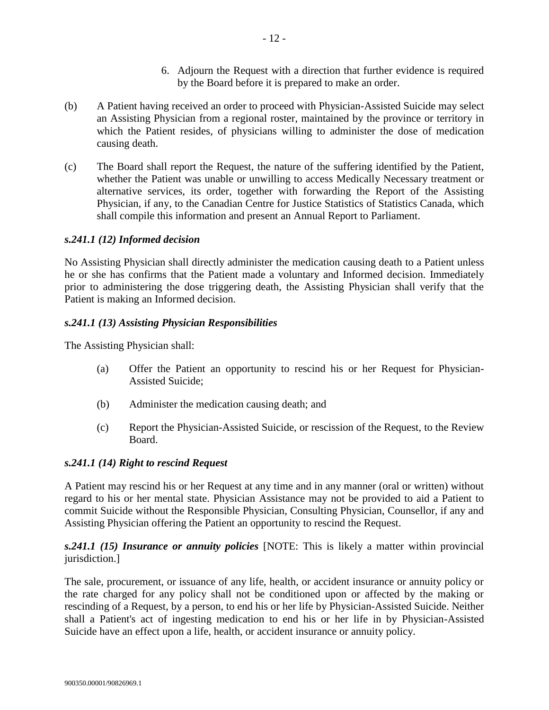- 6. Adjourn the Request with a direction that further evidence is required by the Board before it is prepared to make an order.
- (b) A Patient having received an order to proceed with Physician-Assisted Suicide may select an Assisting Physician from a regional roster, maintained by the province or territory in which the Patient resides, of physicians willing to administer the dose of medication causing death.
- (c) The Board shall report the Request, the nature of the suffering identified by the Patient, whether the Patient was unable or unwilling to access Medically Necessary treatment or alternative services, its order, together with forwarding the Report of the Assisting Physician, if any, to the Canadian Centre for Justice Statistics of Statistics Canada, which shall compile this information and present an Annual Report to Parliament.

#### *s.241.1 (12) Informed decision*

No Assisting Physician shall directly administer the medication causing death to a Patient unless he or she has confirms that the Patient made a voluntary and Informed decision. Immediately prior to administering the dose triggering death, the Assisting Physician shall verify that the Patient is making an Informed decision.

## *s.241.1 (13) Assisting Physician Responsibilities*

The Assisting Physician shall:

- (a) Offer the Patient an opportunity to rescind his or her Request for Physician-Assisted Suicide;
- (b) Administer the medication causing death; and
- (c) Report the Physician-Assisted Suicide, or rescission of the Request, to the Review Board.

#### *s.241.1 (14) Right to rescind Request*

A Patient may rescind his or her Request at any time and in any manner (oral or written) without regard to his or her mental state. Physician Assistance may not be provided to aid a Patient to commit Suicide without the Responsible Physician, Consulting Physician, Counsellor, if any and Assisting Physician offering the Patient an opportunity to rescind the Request.

*s.241.1 (15) Insurance or annuity policies* [NOTE: This is likely a matter within provincial jurisdiction.]

The sale, procurement, or issuance of any life, health, or accident insurance or annuity policy or the rate charged for any policy shall not be conditioned upon or affected by the making or rescinding of a Request, by a person, to end his or her life by Physician-Assisted Suicide. Neither shall a Patient's act of ingesting medication to end his or her life in by Physician-Assisted Suicide have an effect upon a life, health, or accident insurance or annuity policy.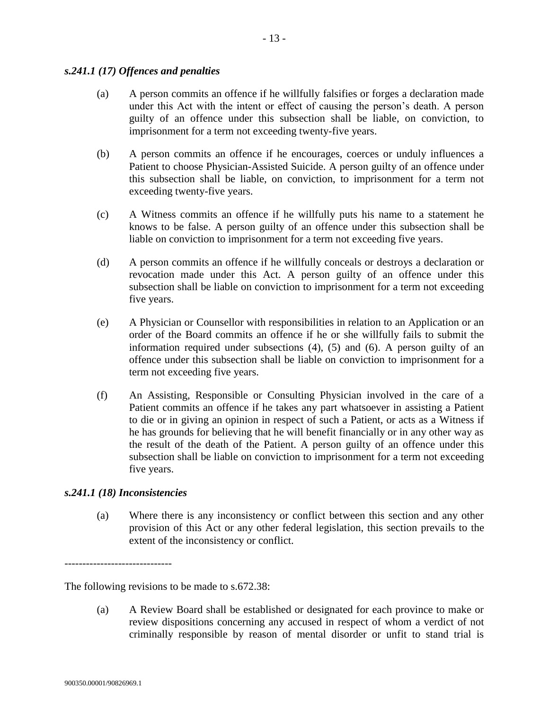#### *s.241.1 (17) Offences and penalties*

- (a) A person commits an offence if he willfully falsifies or forges a declaration made under this Act with the intent or effect of causing the person's death. A person guilty of an offence under this subsection shall be liable, on conviction, to imprisonment for a term not exceeding twenty-five years.
- (b) A person commits an offence if he encourages, coerces or unduly influences a Patient to choose Physician-Assisted Suicide. A person guilty of an offence under this subsection shall be liable, on conviction, to imprisonment for a term not exceeding twenty-five years.
- (c) A Witness commits an offence if he willfully puts his name to a statement he knows to be false. A person guilty of an offence under this subsection shall be liable on conviction to imprisonment for a term not exceeding five years.
- (d) A person commits an offence if he willfully conceals or destroys a declaration or revocation made under this Act. A person guilty of an offence under this subsection shall be liable on conviction to imprisonment for a term not exceeding five years.
- (e) A Physician or Counsellor with responsibilities in relation to an Application or an order of the Board commits an offence if he or she willfully fails to submit the information required under subsections (4), (5) and (6). A person guilty of an offence under this subsection shall be liable on conviction to imprisonment for a term not exceeding five years.
- (f) An Assisting, Responsible or Consulting Physician involved in the care of a Patient commits an offence if he takes any part whatsoever in assisting a Patient to die or in giving an opinion in respect of such a Patient, or acts as a Witness if he has grounds for believing that he will benefit financially or in any other way as the result of the death of the Patient. A person guilty of an offence under this subsection shall be liable on conviction to imprisonment for a term not exceeding five years.

## *s.241.1 (18) Inconsistencies*

(a) Where there is any inconsistency or conflict between this section and any other provision of this Act or any other federal legislation, this section prevails to the extent of the inconsistency or conflict.

------------------------------

The following revisions to be made to s.672.38:

(a) A Review Board shall be established or designated for each province to make or review dispositions concerning any accused in respect of whom a verdict of not criminally responsible by reason of mental disorder or unfit to stand trial is